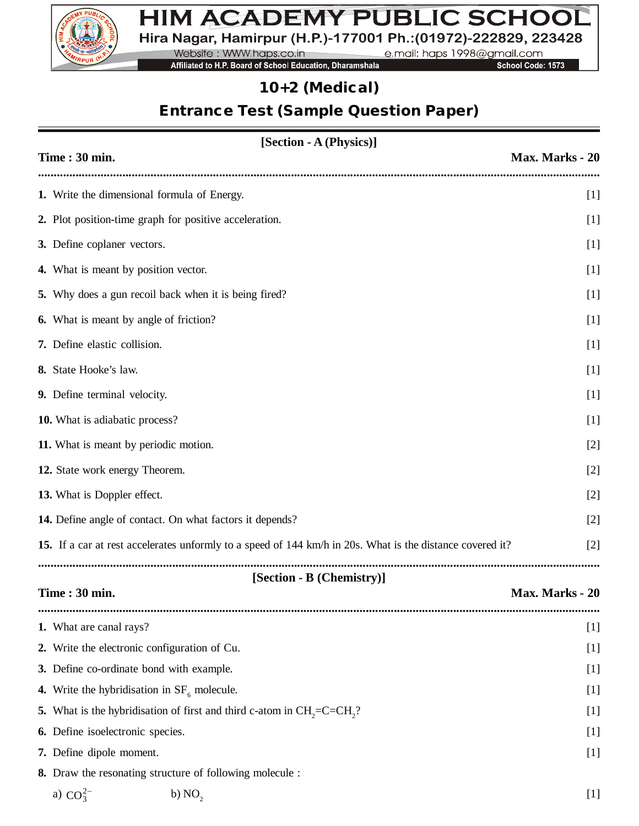

## HIM ACADEMY PUBLIC SCHOOL Hira Nagar, Hamirpur (H.P.)-177001 Ph.: (01972)-222829, 223428

Website: WWW.haps.co.in e.mail: haps 1998@gmail.com

Affiliated to H.P. Board of School Education, Dharamshala

School Code: 1573

### *10+2 (Medical)*

# *Entrance Test (Sample Question Paper)*

| [Section - A (Physics)]                                                                                   |                 |  |  |  |
|-----------------------------------------------------------------------------------------------------------|-----------------|--|--|--|
| Time: 30 min.                                                                                             | Max. Marks - 20 |  |  |  |
| 1. Write the dimensional formula of Energy.                                                               | $[1]$           |  |  |  |
| 2. Plot position-time graph for positive acceleration.                                                    | $[1]$           |  |  |  |
| 3. Define coplaner vectors.                                                                               | $[1]$           |  |  |  |
| 4. What is meant by position vector.                                                                      | $[1]$           |  |  |  |
| 5. Why does a gun recoil back when it is being fired?                                                     | $[1]$           |  |  |  |
| <b>6.</b> What is meant by angle of friction?                                                             | $[1]$           |  |  |  |
| 7. Define elastic collision.                                                                              | $[1]$           |  |  |  |
| 8. State Hooke's law.                                                                                     | $[1]$           |  |  |  |
| 9. Define terminal velocity.                                                                              | $[1]$           |  |  |  |
| 10. What is adiabatic process?                                                                            | $[1]$           |  |  |  |
| 11. What is meant by periodic motion.                                                                     | $[2]$           |  |  |  |
| 12. State work energy Theorem.                                                                            | $[2]$           |  |  |  |
| 13. What is Doppler effect.                                                                               | $[2]$           |  |  |  |
| 14. Define angle of contact. On what factors it depends?                                                  | $[2]$           |  |  |  |
| 15. If a car at rest accelerates unformly to a speed of 144 km/h in 20s. What is the distance covered it? | $[2]$           |  |  |  |
|                                                                                                           |                 |  |  |  |
| [Section - B (Chemistry)]<br>Time: 30 min.                                                                | Max. Marks - 20 |  |  |  |
| 1. What are canal rays?                                                                                   | $[1]$           |  |  |  |
| 2. Write the electronic configuration of Cu.                                                              | $[1]$           |  |  |  |
| 3. Define co-ordinate bond with example.                                                                  | $[1]$           |  |  |  |
| 4. Write the hybridisation in $SF6$ molecule.                                                             | $[1]$           |  |  |  |
| What is the hybridisation of first and third c-atom in $CH2=C=CH2$ ?<br>5.                                | $[1]$           |  |  |  |
| 6. Define isoelectronic species.                                                                          | $[1]$           |  |  |  |
| 7. Define dipole moment.                                                                                  | $[1]$           |  |  |  |
| 8. Draw the resonating structure of following molecule :                                                  |                 |  |  |  |
| a) $CO_3^{2-}$<br>b) NO <sub>2</sub>                                                                      | $[1]$           |  |  |  |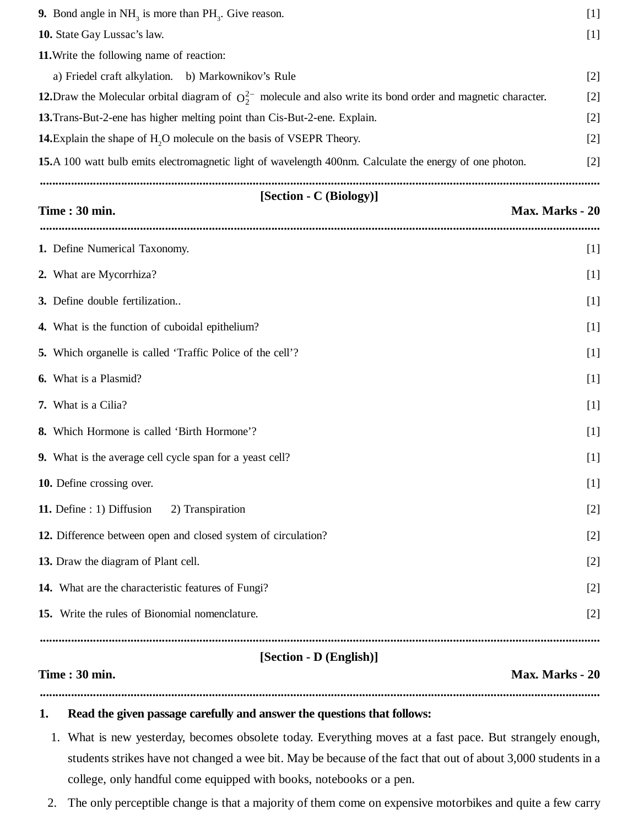| 9. Bond angle in $NH_3$ is more than $PH_3$ . Give reason.                                                          | $[1]$           |
|---------------------------------------------------------------------------------------------------------------------|-----------------|
| 10. State Gay Lussac's law.                                                                                         | $[1]$           |
| 11. Write the following name of reaction:                                                                           |                 |
| a) Friedel craft alkylation. b) Markownikov's Rule                                                                  | $[2]$           |
| 12. Draw the Molecular orbital diagram of $O_2^{2-}$ molecule and also write its bond order and magnetic character. | $[2]$           |
| 13. Trans-But-2-ene has higher melting point than Cis-But-2-ene. Explain.                                           | $[2]$           |
| 14. Explain the shape of H <sub>2</sub> O molecule on the basis of VSEPR Theory.                                    | $[2]$           |
| 15.A 100 watt bulb emits electromagnetic light of wavelength 400nm. Calculate the energy of one photon.             | $[2]$           |
| [Section - C (Biology)]                                                                                             |                 |
| Time: 30 min.                                                                                                       | Max. Marks - 20 |
| 1. Define Numerical Taxonomy.                                                                                       | $[1]$           |
| 2. What are Mycorrhiza?                                                                                             | $[1]$           |
| 3. Define double fertilization                                                                                      | $[1]$           |
| 4. What is the function of cuboidal epithelium?                                                                     | $[1]$           |
| 5. Which organelle is called 'Traffic Police of the cell'?                                                          | $[1]$           |
| <b>6.</b> What is a Plasmid?                                                                                        | $[1]$           |
| 7. What is a Cilia?                                                                                                 | $[1]$           |
| 8. Which Hormone is called 'Birth Hormone'?                                                                         | $[1]$           |
| 9. What is the average cell cycle span for a yeast cell?                                                            | $[1]$           |
| 10. Define crossing over.                                                                                           | $[1]$           |
| 11. Define : 1) Diffusion<br>2) Transpiration                                                                       | $[2]$           |
| 12. Difference between open and closed system of circulation?                                                       | $[2]$           |
| 13. Draw the diagram of Plant cell.                                                                                 | $[2]$           |
| 14. What are the characteristic features of Fungi?                                                                  | $[2]$           |
| 15. Write the rules of Bionomial nomenclature.                                                                      | $[2]$           |
| [Section - D (English)]                                                                                             |                 |
| Time: 30 min.                                                                                                       | Max. Marks - 20 |
|                                                                                                                     |                 |

#### **1. Read the given passage carefully and answer the questions that follows:**

- 1. What is new yesterday, becomes obsolete today. Everything moves at a fast pace. But strangely enough, students strikes have not changed a wee bit. May be because of the fact that out of about 3,000 students in a college, only handful come equipped with books, notebooks or a pen.
- 2. The only perceptible change is that a majority of them come on expensive motorbikes and quite a few carry